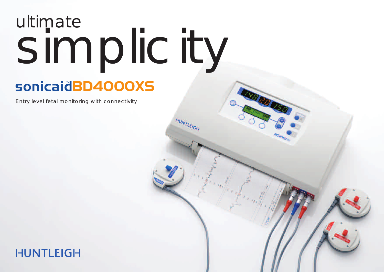# ultimate simplicity

HUNTLEIGH

Ta Eta Eta E

# **BD4000XS**

Entry level fetal monitoring with connectivity

### **HUNTLEIGH**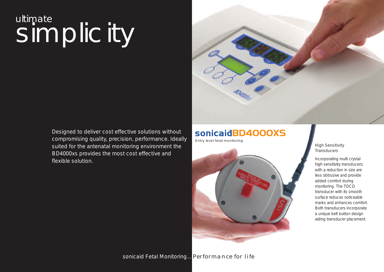# ultimate simplicity

Designed to deliver cost effective solutions without compromising quality, precision, performance. Ideally suited for the antenatal monitoring environment the BD4000xs provides the most cost effective and flexible solution.





#### High Sensitivity **Transducers**

Incorporating multi crystal high sensitivity transducers; with a reduction in size are less obtrusive and provide added comfort during monitoring. The TOCO transducer with its smooth surface reduces noticeable marks and enhances comfort. Both transducers incorporate a unique belt button design aiding transducer placement.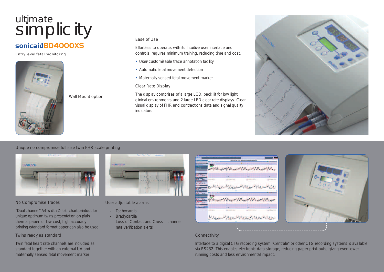## ultimate simplicity Execute

#### **BD4000XS**

Entry level fetal monitoring



Wall Mount option

Effortless to operate, with its Intuitive user interface and controls, requires minimum training, reducing time and cost.

- User-customisable trace annotation facility
- Automatic fetal movement detection
- Maternally sensed fetal movement marker

#### Clear Rate Display

The display comprises of a large LCD, back lit for low light clinical environments and 2 large LED clear rate displays. Clear visual display of FHR and contractions data and signal quality indicators



#### Unique no compromise full size twin FHR scale printing



#### No Compromise Traces

"Dual channel" A4 width Z-fold chart printout for unique optimum twins presentation on plain thermal paper for low cost, high accuracy printing (standard format paper can also be used

Twins ready as standard

Twin fetal heart rate channels are included as standard together with an external UA and maternally sensed fetal movement marker



#### User adjustable alarms

- Tachycardia
- Bradycardia
- Loss of Contact and Cross channel rate verification alerts





#### **Connectivity**

Interface to a digital CTG recording system "Centrale" or other CTG recording systems is available via RS232. This enables electronic data storage, reducing paper print-outs, giving even lower running costs and less environmental impact.